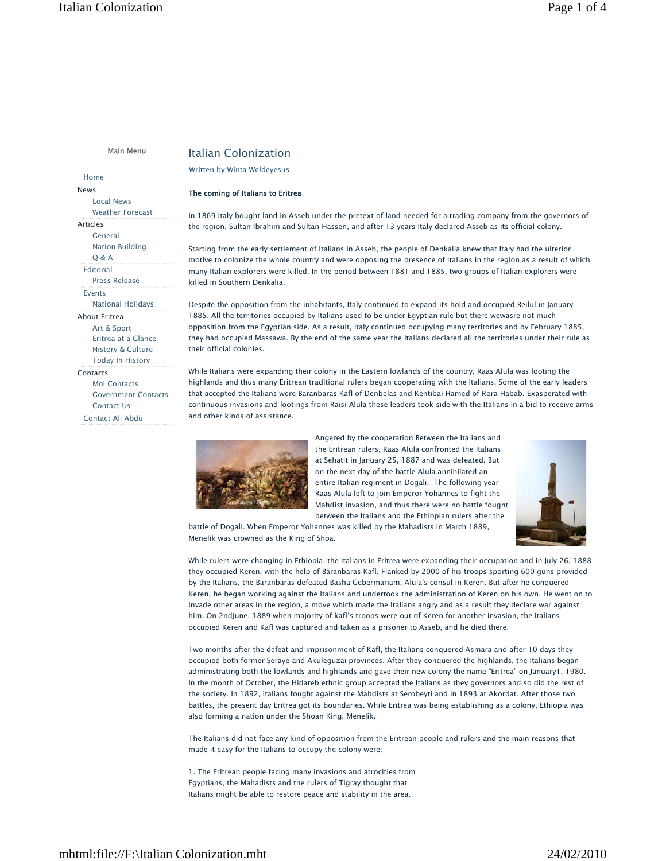Main Menu

Home

News Local News Weather Forecast Articles General Nation Building Q & A Editorial Press Release Events National Holidays About Eritrea Art & Sport Eritrea at a Glance History & Culture Today In History Contacts

MoI Contacts Government Contacts Contact Us Contact Ali Abdu

# Italian Colonization

# Written by Winta Weldeyesus

## The coming of Italians to Eritrea

In 1869 Italy bought land in Asseb under the pretext of land needed for a trading company from the governors of the region, Sultan Ibrahim and Sultan Hassen, and after 13 years Italy declared Asseb as its official colony.

Starting from the early settlement of Italians in Asseb, the people of Denkalia knew that Italy had the ulterior motive to colonize the whole country and were opposing the presence of Italians in the region as a result of which many Italian explorers were killed. In the period between 1881 and 1885, two groups of Italian explorers were killed in Southern Denkalia.

Despite the opposition from the inhabitants, Italy continued to expand its hold and occupied Beilul in January 1885. All the territories occupied by Italians used to be under Egyptian rule but there wewasre not much opposition from the Egyptian side. As a result, Italy continued occupying many territories and by February 1885, they had occupied Massawa. By the end of the same year the Italians declared all the territories under their rule as their official colonies.

While Italians were expanding their colony in the Eastern lowlands of the country, Raas Alula was looting the highlands and thus many Eritrean traditional rulers began cooperating with the Italians. Some of the early leaders that accepted the Italians were Baranbaras Kafl of Denbelas and Kentibai Hamed of Rora Habab. Exasperated with continuous invasions and lootings from Raisi Alula these leaders took side with the Italians in a bid to receive arms and other kinds of assistance.



Angered by the cooperation Between the Italians and the Eritrean rulers, Raas Alula confronted the Italians at Sehatit in January 25, 1887 and was defeated. But on the next day of the battle Alula annihilated an entire Italian regiment in Dogali. The following year Raas Alula left to join Emperor Yohannes to fight the Mahdist invasion, and thus there were no battle fought between the Italians and the Ethiopian rulers after the

battle of Dogali. When Emperor Yohannes was killed by the Mahadists in March 1889, Menelik was crowned as the King of Shoa.

While rulers were changing in Ethiopia, the Italians in Eritrea were expanding their occupation and in July 26, 1888 they occupied Keren, with the help of Baranbaras Kafl. Flanked by 2000 of his troops sporting 600 guns provided by the Italians, the Baranbaras defeated Basha Gebermariam, Alula's consul in Keren. But after he conquered Keren, he began working against the Italians and undertook the administration of Keren on his own. He went on to invade other areas in the region, a move which made the Italians angry and as a result they declare war against him. On 2ndJune, 1889 when majority of kafl's troops were out of Keren for another invasion, the Italians occupied Keren and Kafl was captured and taken as a prisoner to Asseb, and he died there.

Two months after the defeat and imprisonment of Kafl, the Italians conquered Asmara and after 10 days they occupied both former Seraye and Akuleguzai provinces. After they conquered the highlands, the Italians began administrating both the lowlands and highlands and gave their new colony the name "Eritrea" on January1, 1980. In the month of October, the Hidareb ethnic group accepted the Italians as they governors and so did the rest of the society. In 1892, Italians fought against the Mahdists at Serobeyti and in 1893 at Akordat. After those two battles, the present day Eritrea got its boundaries. While Eritrea was being establishing as a colony, Ethiopia was also forming a nation under the Shoan King, Menelik.

The Italians did not face any kind of opposition from the Eritrean people and rulers and the main reasons that made it easy for the Italians to occupy the colony were:

1. The Eritrean people facing many invasions and atrocities from Egyptians, the Mahadists and the rulers of Tigray thought that Italians might be able to restore peace and stability in the area.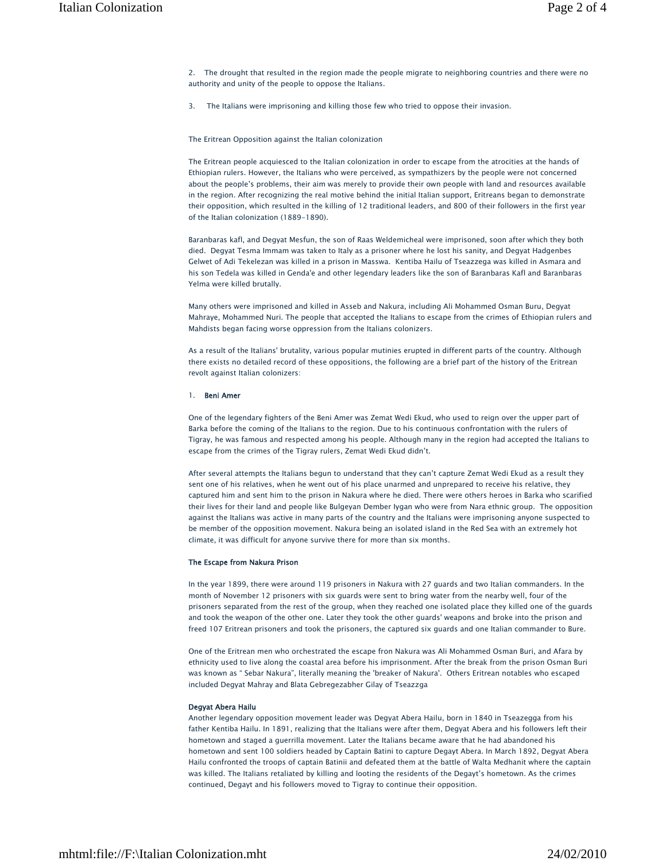2. The drought that resulted in the region made the people migrate to neighboring countries and there were no authority and unity of the people to oppose the Italians.

3. The Italians were imprisoning and killing those few who tried to oppose their invasion.

The Eritrean Opposition against the Italian colonization

The Eritrean people acquiesced to the Italian colonization in order to escape from the atrocities at the hands of Ethiopian rulers. However, the Italians who were perceived, as sympathizers by the people were not concerned about the people's problems, their aim was merely to provide their own people with land and resources available in the region. After recognizing the real motive behind the initial Italian support, Eritreans began to demonstrate their opposition, which resulted in the killing of 12 traditional leaders, and 800 of their followers in the first year of the Italian colonization (1889-1890).

Baranbaras kafl, and Degyat Mesfun, the son of Raas Weldemicheal were imprisoned, soon after which they both died. Degyat Tesma Immam was taken to Italy as a prisoner where he lost his sanity, and Degyat Hadgenbes Gelwet of Adi Tekelezan was killed in a prison in Masswa. Kentiba Hailu of Tseazzega was killed in Asmara and his son Tedela was killed in Genda'e and other legendary leaders like the son of Baranbaras Kafl and Baranbaras Yelma were killed brutally.

Many others were imprisoned and killed in Asseb and Nakura, including Ali Mohammed Osman Buru, Degyat Mahraye, Mohammed Nuri. The people that accepted the Italians to escape from the crimes of Ethiopian rulers and Mahdists began facing worse oppression from the Italians colonizers.

As a result of the Italians' brutality, various popular mutinies erupted in different parts of the country. Although there exists no detailed record of these oppositions, the following are a brief part of the history of the Eritrean revolt against Italian colonizers:

### 1. Beni Amer

One of the legendary fighters of the Beni Amer was Zemat Wedi Ekud, who used to reign over the upper part of Barka before the coming of the Italians to the region. Due to his continuous confrontation with the rulers of Tigray, he was famous and respected among his people. Although many in the region had accepted the Italians to escape from the crimes of the Tigray rulers, Zemat Wedi Ekud didn't.

After several attempts the Italians begun to understand that they can't capture Zemat Wedi Ekud as a result they sent one of his relatives, when he went out of his place unarmed and unprepared to receive his relative, they captured him and sent him to the prison in Nakura where he died. There were others heroes in Barka who scarified their lives for their land and people like Bulgeyan Dember Iygan who were from Nara ethnic group. The opposition against the Italians was active in many parts of the country and the Italians were imprisoning anyone suspected to be member of the opposition movement. Nakura being an isolated island in the Red Sea with an extremely hot climate, it was difficult for anyone survive there for more than six months.

# The Escape from Nakura Prison

In the year 1899, there were around 119 prisoners in Nakura with 27 guards and two Italian commanders. In the month of November 12 prisoners with six guards were sent to bring water from the nearby well, four of the prisoners separated from the rest of the group, when they reached one isolated place they killed one of the guards and took the weapon of the other one. Later they took the other guards' weapons and broke into the prison and freed 107 Eritrean prisoners and took the prisoners, the captured six guards and one Italian commander to Bure.

One of the Eritrean men who orchestrated the escape fron Nakura was Ali Mohammed Osman Buri, and Afara by ethnicity used to live along the coastal area before his imprisonment. After the break from the prison Osman Buri was known as " Sebar Nakura", literally meaning the 'breaker of Nakura'. Others Eritrean notables who escaped included Degyat Mahray and Blata Gebregezabher Gilay of Tseazzga

## Degyat Abera Hailu

Another legendary opposition movement leader was Degyat Abera Hailu, born in 1840 in Tseazegga from his father Kentiba Hailu. In 1891, realizing that the Italians were after them, Degyat Abera and his followers left their hometown and staged a guerrilla movement. Later the Italians became aware that he had abandoned his hometown and sent 100 soldiers headed by Captain Batini to capture Degayt Abera. In March 1892, Degyat Abera Hailu confronted the troops of captain Batinii and defeated them at the battle of Walta Medhanit where the captain was killed. The Italians retaliated by killing and looting the residents of the Degayt's hometown. As the crimes continued, Degayt and his followers moved to Tigray to continue their opposition.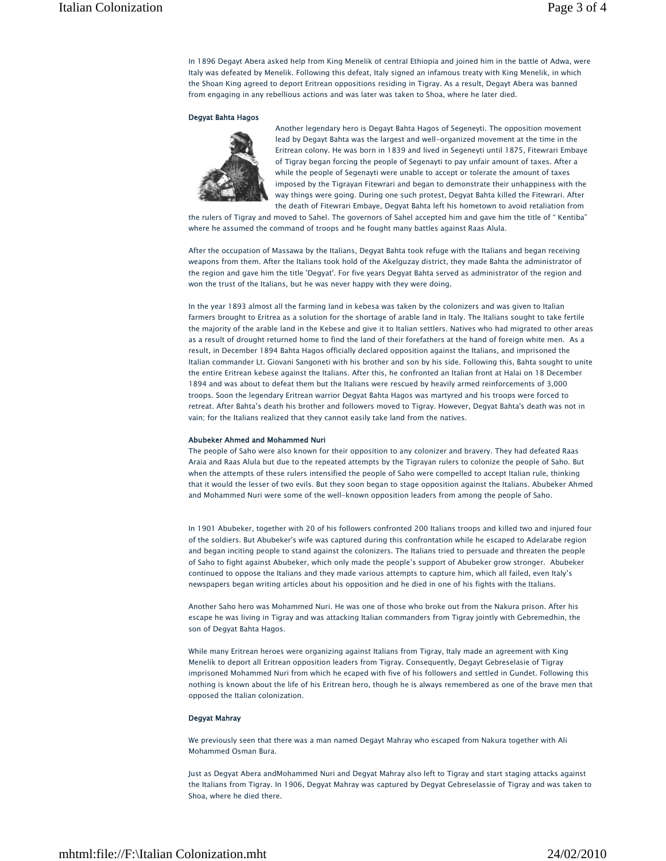In 1896 Degayt Abera asked help from King Menelik of central Ethiopia and joined him in the battle of Adwa, were Italy was defeated by Menelik. Following this defeat, Italy signed an infamous treaty with King Menelik, in which the Shoan King agreed to deport Eritrean oppositions residing in Tigray. As a result, Degayt Abera was banned from engaging in any rebellious actions and was later was taken to Shoa, where he later died.

#### Degyat Bahta Hagos



Another legendary hero is Degayt Bahta Hagos of Segeneyti. The opposition movement lead by Degayt Bahta was the largest and well-organized movement at the time in the Eritrean colony. He was born in 1839 and lived in Segeneyti until 1875, Fitewrari Embaye of Tigray began forcing the people of Segenayti to pay unfair amount of taxes. After a while the people of Segenayti were unable to accept or tolerate the amount of taxes imposed by the Tigrayan Fitewrari and began to demonstrate their unhappiness with the way things were going. During one such protest, Degyat Bahta killed the Fitewrari. After the death of Fitewrari Embaye, Degyat Bahta left his hometown to avoid retaliation from

the rulers of Tigray and moved to Sahel. The governors of Sahel accepted him and gave him the title of " Kentiba" where he assumed the command of troops and he fought many battles against Raas Alula.

After the occupation of Massawa by the Italians, Degyat Bahta took refuge with the Italians and began receiving weapons from them. After the Italians took hold of the Akelguzay district, they made Bahta the administrator of the region and gave him the title 'Degyat'. For five years Degyat Bahta served as administrator of the region and won the trust of the Italians, but he was never happy with they were doing.

In the year 1893 almost all the farming land in kebesa was taken by the colonizers and was given to Italian farmers brought to Eritrea as a solution for the shortage of arable land in Italy. The Italians sought to take fertile the majority of the arable land in the Kebese and give it to Italian settlers. Natives who had migrated to other areas as a result of drought returned home to find the land of their forefathers at the hand of foreign white men. As a result, in December 1894 Bahta Hagos officially declared opposition against the Italians, and imprisoned the Italian commander Lt. Giovani Sangoneti with his brother and son by his side. Following this, Bahta sought to unite the entire Eritrean kebese against the Italians. After this, he confronted an Italian front at Halai on 18 December 1894 and was about to defeat them but the Italians were rescued by heavily armed reinforcements of 3,000 troops. Soon the legendary Eritrean warrior Degyat Bahta Hagos was martyred and his troops were forced to retreat. After Bahta's death his brother and followers moved to Tigray. However, Degyat Bahta's death was not in vain; for the Italians realized that they cannot easily take land from the natives.

#### Abubeker Ahmed and Mohammed Nuri

The people of Saho were also known for their opposition to any colonizer and bravery. They had defeated Raas Araia and Raas Alula but due to the repeated attempts by the Tigrayan rulers to colonize the people of Saho. But when the attempts of these rulers intensified the people of Saho were compelled to accept Italian rule, thinking that it would the lesser of two evils. But they soon began to stage opposition against the Italians. Abubeker Ahmed and Mohammed Nuri were some of the well-known opposition leaders from among the people of Saho.

In 1901 Abubeker, together with 20 of his followers confronted 200 Italians troops and killed two and injured four of the soldiers. But Abubeker's wife was captured during this confrontation while he escaped to Adelarabe region and began inciting people to stand against the colonizers. The Italians tried to persuade and threaten the people of Saho to fight against Abubeker, which only made the people's support of Abubeker grow stronger. Abubeker continued to oppose the Italians and they made various attempts to capture him, which all failed, even Italy's newspapers began writing articles about his opposition and he died in one of his fights with the Italians.

Another Saho hero was Mohammed Nuri. He was one of those who broke out from the Nakura prison. After his escape he was living in Tigray and was attacking Italian commanders from Tigray jointly with Gebremedhin, the son of Degyat Bahta Hagos.

While many Eritrean heroes were organizing against Italians from Tigray, Italy made an agreement with King Menelik to deport all Eritrean opposition leaders from Tigray. Consequently, Degayt Gebreselasie of Tigray imprisoned Mohammed Nuri from which he ecaped with five of his followers and settled in Gundet. Following this nothing is known about the life of his Eritrean hero, though he is always remembered as one of the brave men that opposed the Italian colonization.

## Degyat Mahray

We previously seen that there was a man named Degayt Mahray who escaped from Nakura together with Ali Mohammed Osman Bura.

Just as Degyat Abera andMohammed Nuri and Degyat Mahray also left to Tigray and start staging attacks against the Italians from Tigray. In 1906, Degyat Mahray was captured by Degyat Gebreselassie of Tigray and was taken to Shoa, where he died there.